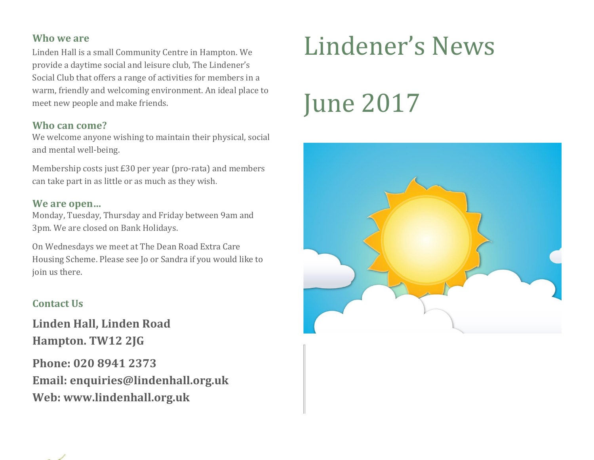#### **Who we are**

Linden Hall is a small Community Centre in Hampton. We provide a daytime social and leisure club, The Lindener's Social Club that offers a range of activities for members in a warm, friendly and welcoming environment. An ideal place to meet new people and make friends.

#### **Who can come?**

We welcome anyone wishing to maintain their physical, social and mental well-being.

Membership costs just £30 per year (pro-rata) and members can take part in as little or as much as they wish.

#### **We are open…**

Monday, Tuesday, Thursday and Friday between 9am and 3pm. We are closed on Bank Holidays.

On Wednesdays we meet at The Dean Road Extra Care Housing Scheme. Please see Jo or Sandra if you would like to join us there.

#### **Contact Us**

**Linden Hall, Linden Road Hampton. TW12 2JG**

**Phone: 020 8941 2373 Email: enquiries@lindenhall.org.uk Web: www.lindenhall.org.uk**

# Lindener's News

# June 2017



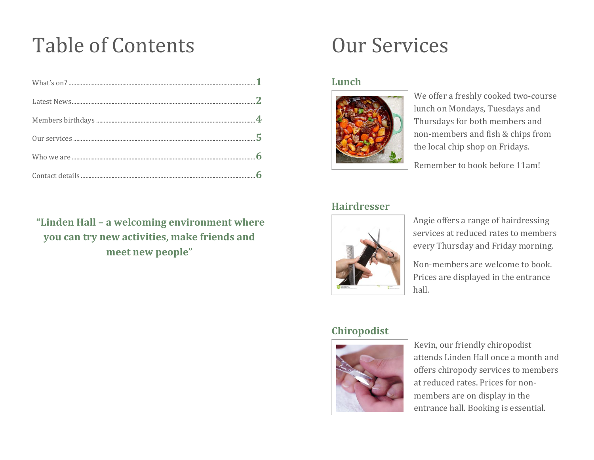### Table of Contents

**"Linden Hall – a welcoming environment where you can try new activities, make friends and meet new people"**

### Our Services

#### **Lunch**



We offer a freshly cooked two-course lunch on Mondays, Tuesdays and Thursdays for both members and non-members and fish & chips from the local chip shop on Fridays.

Remember to book before 11am!

#### **Hairdresser**



Angie offers a range of hairdressing services at reduced rates to members every Thursday and Friday morning.

Non-members are welcome to book. Prices are displayed in the entrance hall.

#### **Chiropodist**



Kevin, our friendly chiropodist attends Linden Hall once a month and offers chiropody services to members at reduced rates. Prices for nonmembers are on display in the entrance hall. Booking is essential.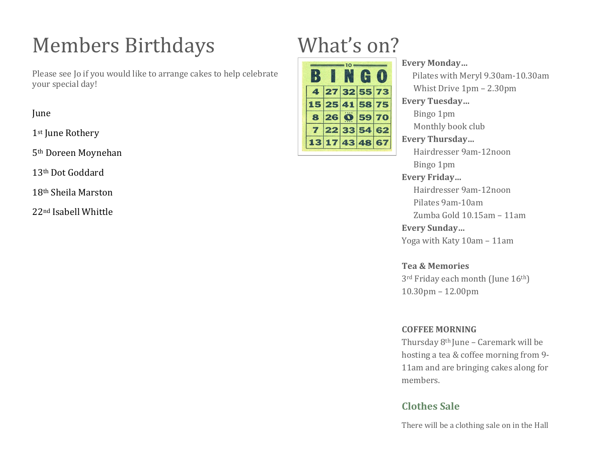## Members Birthdays

Please see Jo if you would like to arrange cakes to help celebrate your special day!

June

1st June Rothery

5th Doreen Moynehan

13th Dot Goddard

18th Sheila Marston

22nd Isabell Whittle

## What's on?

|                | $\blacksquare$ |  |
|----------------|----------------|--|
| 4 27 32 55 73  |                |  |
| 15 25 41 58 75 |                |  |
| 8 26 0 59 70   |                |  |
| 7 22 33 54 62  |                |  |
| 13 17 43 48 67 |                |  |

#### **Every Monday…**

 Pilates with Meryl 9.30am-10.30am Whist Drive 1pm – 2.30pm **Every Tuesday…** Bingo 1pm Monthly book club

#### **Every Thursday…**

 Hairdresser 9am-12noon Bingo 1pm

#### **Every Friday…**

 Hairdresser 9am-12noon Pilates 9am-10am Zumba Gold 10.15am – 11am

**Every Sunday…**

Yoga with Katy 10am – 11am

**Tea & Memories** 3rd Friday each month (June 16th) 10.30pm – 12.00pm

#### **COFFEE MORNING**

Thursday 8th June – Caremark will be hosting a tea & coffee morning from 9- 11am and are bringing cakes along for members.

#### **Clothes Sale**

There will be a clothing sale on in the Hall